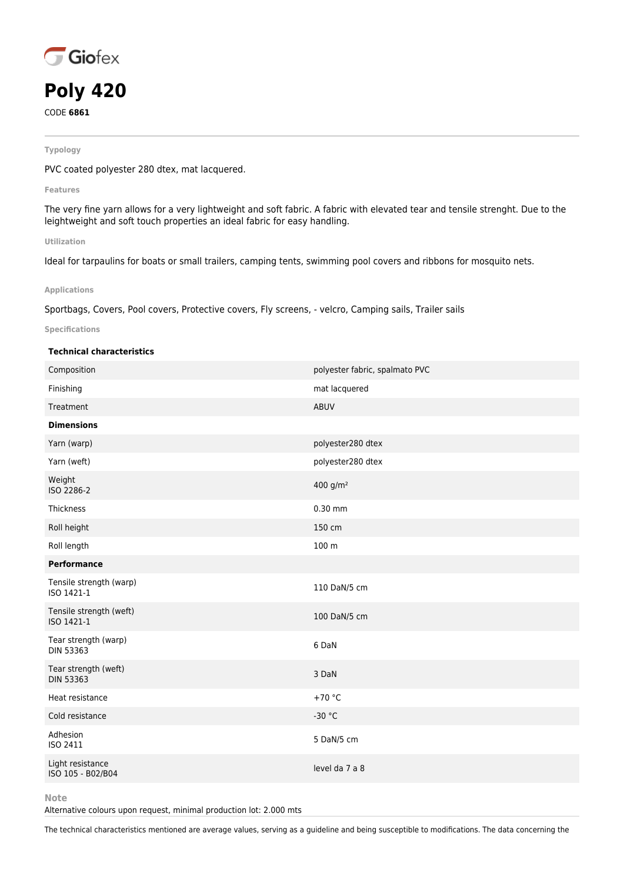

# **Poly 420**

CODE **6861**

#### **Typology**

PVC coated polyester 280 dtex, mat lacquered.

**Features**

The very fine yarn allows for a very lightweight and soft fabric. A fabric with elevated tear and tensile strenght. Due to the leightweight and soft touch properties an ideal fabric for easy handling.

### **Utilization**

Ideal for tarpaulins for boats or small trailers, camping tents, swimming pool covers and ribbons for mosquito nets.

## **Applications**

Sportbags, Covers, Pool covers, Protective covers, Fly screens, - velcro, Camping sails, Trailer sails

## **Specifications**

# **Technical characteristics**

| Composition                              | polyester fabric, spalmato PVC |
|------------------------------------------|--------------------------------|
| Finishing                                | mat lacquered                  |
| Treatment                                | <b>ABUV</b>                    |
| <b>Dimensions</b>                        |                                |
| Yarn (warp)                              | polyester280 dtex              |
| Yarn (weft)                              | polyester280 dtex              |
| Weight<br>ISO 2286-2                     | 400 g/m <sup>2</sup>           |
| Thickness                                | $0.30$ mm                      |
| Roll height                              | 150 cm                         |
| Roll length                              | 100 m                          |
| <b>Performance</b>                       |                                |
| Tensile strength (warp)<br>ISO 1421-1    | 110 DaN/5 cm                   |
| Tensile strength (weft)<br>ISO 1421-1    | 100 DaN/5 cm                   |
| Tear strength (warp)<br><b>DIN 53363</b> | 6 DaN                          |
| Tear strength (weft)<br><b>DIN 53363</b> | 3 DaN                          |
| Heat resistance                          | $+70 °C$                       |
| Cold resistance                          | $-30 °C$                       |
| Adhesion<br>ISO 2411                     | 5 DaN/5 cm                     |
| Light resistance<br>ISO 105 - B02/B04    | level da 7 a 8                 |
|                                          |                                |

**Note**

Alternative colours upon request, minimal production lot: 2.000 mts

The technical characteristics mentioned are average values, serving as a guideline and being susceptible to modifications. The data concerning the